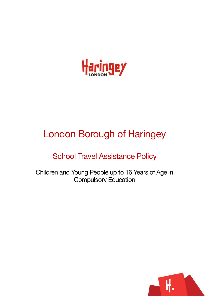

# **London Borough of Haringey**

# **School Travel Assistance Policy**

Children and Young People up to 16 Years of Age in **Compulsory Education** 

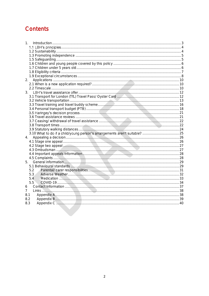# Contents

| $1_{\ldots}$                                                                                                                                                                                                                   |  |
|--------------------------------------------------------------------------------------------------------------------------------------------------------------------------------------------------------------------------------|--|
|                                                                                                                                                                                                                                |  |
|                                                                                                                                                                                                                                |  |
|                                                                                                                                                                                                                                |  |
|                                                                                                                                                                                                                                |  |
|                                                                                                                                                                                                                                |  |
|                                                                                                                                                                                                                                |  |
|                                                                                                                                                                                                                                |  |
|                                                                                                                                                                                                                                |  |
| 2.                                                                                                                                                                                                                             |  |
|                                                                                                                                                                                                                                |  |
|                                                                                                                                                                                                                                |  |
| 3.                                                                                                                                                                                                                             |  |
|                                                                                                                                                                                                                                |  |
|                                                                                                                                                                                                                                |  |
|                                                                                                                                                                                                                                |  |
|                                                                                                                                                                                                                                |  |
|                                                                                                                                                                                                                                |  |
|                                                                                                                                                                                                                                |  |
|                                                                                                                                                                                                                                |  |
|                                                                                                                                                                                                                                |  |
|                                                                                                                                                                                                                                |  |
|                                                                                                                                                                                                                                |  |
|                                                                                                                                                                                                                                |  |
| 4.                                                                                                                                                                                                                             |  |
|                                                                                                                                                                                                                                |  |
| 4.2 Stage two appeal 2000 million communication and contract the contract of the contract of the contract of the contract of the contract of the contract of the contract of the contract of the contract of the contract of t |  |
|                                                                                                                                                                                                                                |  |
|                                                                                                                                                                                                                                |  |
|                                                                                                                                                                                                                                |  |
| 5.                                                                                                                                                                                                                             |  |
|                                                                                                                                                                                                                                |  |
| 5.2                                                                                                                                                                                                                            |  |
| 5.3                                                                                                                                                                                                                            |  |
| 5.4                                                                                                                                                                                                                            |  |
| 5.5                                                                                                                                                                                                                            |  |
| 6                                                                                                                                                                                                                              |  |
| 7                                                                                                                                                                                                                              |  |
| 8.1                                                                                                                                                                                                                            |  |
| 8.2<br>8.3                                                                                                                                                                                                                     |  |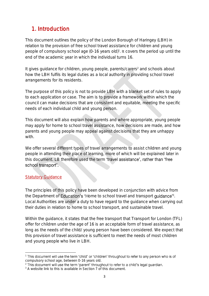# <span id="page-2-0"></span>1. Introduction

This document outlines the policy of the London Borough of Haringey (LBH) in relation to the provision of free school travel assistance for children and young people of compulsory school age  $(0-16 \text{ years old})$ <sup>1</sup>. It covers the period up until the end of the academic year in which the individual turns 16.

It gives guidance for children, young people, parents/carers<sup>2</sup> and schools about how the LBH fulfils its legal duties as a local authority in providing school travel arrangements for its residents.

The purpose of this policy is not to provide LBH with a blanket set of rules to apply to each application or case. The aim is to provide a framework within which the council can make decisions that are consistent and equitable, meeting the specific needs of each individual child and young person.

This document will also explain how parents and where appropriate, young people may apply for home to school travel assistance, how decisions are made, and how parents and young people may appeal against decisions that they are unhappy with.

We offer several different types of travel arrangements to assist children and young people in attending their place of learning, more of which will be explained later in this document. LB therefore used the term 'travel assistance', rather than 'free school transport'.

#### Statutory Guidance

The principles of this policy have been developed in conjunction with advice from the Department of Education's 'Home to school travel and transport guidance'<sup>3</sup>. Local Authorities are under a duty to have regard to the guidance when carrying out their duties in relation to home to school transport, and sustainable travel.

Within the guidance, it states that the free transport that Transport for London (TFL) offer for children under the age of 16 is an acceptable form of travel assistance, as long as the needs of the child/ young person have been considered. We expect that this provision of travel assistance is sufficient to meet the needs of most children and young people who live in LBH.

<sup>&</sup>lt;sup>1</sup> This document will use the term 'child' or 'children' throughout to refer to any person who is of compulsory school age, between 0-16 years old.

<sup>&</sup>lt;sup>2</sup> This document will use the term 'parent' throughout to refer to a child's legal guardian.

<sup>&</sup>lt;sup>3</sup> A website link to this is available in Section 7 of this document.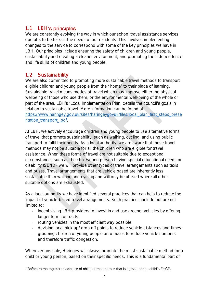### <span id="page-3-0"></span>1.1 LBH's principles

We are constantly evolving the way in which our school travel assistance services operate, to better suit the needs of our residents. This involves implementing changes to the service to correspond with some of the key principles we have in LBH. Our principles include ensuring the safety of children and young people, sustainability and creating a cleaner environment, and promoting the independence and life skills of children and young people.

### <span id="page-3-1"></span>1.2 Sustainability

We are also committed to promoting more sustainable travel methods to transport eligible children and young people from their home<sup>4</sup> to their place of learning. Sustainable travel means modes of travel which may improve either the physical wellbeing of those who use them, or the environmental well-being of the whole or part of the area. LBH's 'Local Implementation Plan' details the council's goals in relation to sustainable travel. More information can be found at: [https://www.haringey.gov.uk/sites/haringeygovuk/files/local\\_plan\\_first\\_steps\\_prese](https://www.haringey.gov.uk/sites/haringeygovuk/files/local_plan_first_steps_presentation_transport_.pdf) ntation\_transport\_.pdf

At LBH, we actively encourage children and young people to use alternative forms of travel that promote sustainability, such as walking, cycling, and using public transport to fulfil their needs. As a local authority, we are aware that these travel methods may not be suitable for all the children who are eligible for travel assistance. When these forms of travel are not suitable due to exceptional circumstances such as the child/young person having special educational needs or disability (SEND), we will provide other types of travel arrangements such as taxis and buses. Travel arrangements that are vehicle based are inherently less sustainable than walking and cycling and will only be utilised where all other suitable options are exhausted.

As a local authority we have identified several practices that can help to reduce the impact of vehicle-based travel arrangements. Such practices include but are not limited to:

- incentivising LBH providers to invest in and use greener vehicles by offering longer term contracts.
- routing vehicles in the most efficient way possible.
- devising local pick up/ drop off points to reduce vehicle distances and times.
- grouping children or young people onto buses to reduce vehicle numbers and therefore traffic congestion.

Wherever possible, Haringey will always promote the most sustainable method for a child or young person, based on their specific needs. This is a fundamental part of

<sup>&</sup>lt;sup>4</sup> Refers to the registered address of child, or the address that is agreed on the child's EHCP.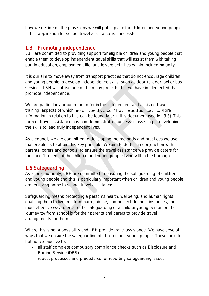how we decide on the provisions we will put in place for children and young people if their application for school travel assistance is successful.

### <span id="page-4-0"></span>1.3 Promoting independence

LBH are committed to providing support for eligible children and young people that enable them to develop independent travel skills that will assist them with taking part in education, employment, life, and leisure activities within their community.

It is our aim to move away from transport practices that do not encourage children and young people to develop independence skills, such as door-to-door taxi or bus services. LBH will utilise one of the many projects that we have implemented that promote independence.

We are particularly proud of our offer in the independent and assisted travel training, aspects of which are delivered via our 'Travel Buddies' service. More information in relation to this can be found later in this document (section 3.3). This form of travel assistance has had demonstrable success in assisting in developing the skills to lead truly independent lives.

As a council, we are committed to developing the methods and practices we use that enable us to attain this key principle. We aim to do this in conjunction with parents, carers and schools, to ensure the travel assistance we provide caters for the specific needs of the children and young people living within the borough.

### <span id="page-4-1"></span>1.5 Safeguarding

As a local authority, LBH are committed to ensuring the safeguarding of children and young people and this is particularly important when children and young people are receiving home to school travel assistance.

Safeguarding means protecting a person's health, wellbeing, and human rights; enabling them to live free from harm, abuse, and neglect. In most instances, the most effective way to ensure the safeguarding of a child or young person on their journey to/ from school is for their parents and carers to provide travel arrangements for them.

Where this is not a possibility and LBH provide travel assistance. We have several ways that we ensure the safeguarding of children and young people. These include but not exhaustive to:

- all staff complete compulsory compliance checks such as Disclosure and Barring Service (DBS).
- robust processes and procedures for reporting safeguarding issues.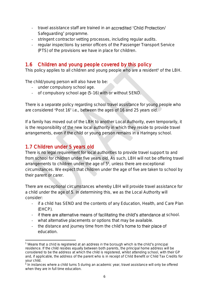- travel assistance staff are trained in an **accredited 'Child Protection/** Safeguarding' programme.
- stringent contractor vetting processes, including regular audits.
- regular inspections by senior officers of the Passenger Transport Service (PTS) of the provisions we have in place for children.

### <span id="page-5-0"></span>1.6 Children and young people covered by this policy

This policy applies to all children and young people who are a resident<sup>5</sup> of the LBH.

The child/young person will also have to be:

- under compulsory school age.
- of compulsory school age (5-16) with or without SEND.

There is a separate policy regarding school travel assistance for young people who are considered 'Post 16' i.e., between the ages of 16 and 25 years old.

If a family has moved out of the LBH to another Local Authority, even temporarily, it is the responsibility of the new local authority in which they reside to provide travel arrangements, even if the child or young person remains in a Haringey school.

### <span id="page-5-1"></span>1.7 Children under 5 years old

There is no legal requirement for local authorities to provide travel support to and from school for children under five years old. As such, LBH will not be offering travel arrangements to children under the age of 5<sup>6</sup> , unless there are exceptional circumstances. We expect that children under the age of five are taken to school by their parent or carer.

There are exceptional circumstances whereby LBH will provide travel assistance for a child under the age of 5. In determining this, we as the Local Authority will consider:

- if a child has SEND and the contents of any Education, Health, and Care Plan (EHCP).
- if there are alternative means of facilitating the child's attendance at school.
- what alternative placements or options that may be available.
- the distance and journey time from the child's home to their place of education.

<sup>&</sup>lt;sup>5</sup> Means that a child is registered at an address in the borough which is the child's principal residence. If the child resides equally between both parents, the principal home address will be considered to be the address at which the child is registered, whilst attending school, with their GP and, if applicable, the address of the parent who is in receipt of Child Benefit or Child Tax Credits for your child.

<sup>6</sup> In instances where a child turns 5 during an academic year, travel assistance will only be offered when they are in full time education.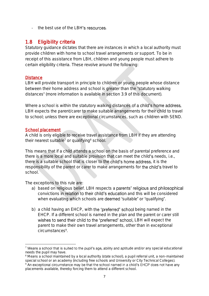- the best use of the LBH's resources.

### <span id="page-6-0"></span>1.8 Eligibility criteria

Statutory guidance dictates that there are instances in which a local authority must provide children with home to school travel arrangements or support. To be in receipt of this assistance from LBH, children and young people must adhere to certain eligibility criteria. These revolve around the following:

#### **Distance**

LBH will provide transport in principle to children or young people whose distance between their home address and school is greater than the 'statutory walking distances' (more information is available in section 3.9 of this document).

Where a school is within the statutory walking distances of a child's home address, LBH expects the parent/carer to make suitable arrangements for their child to travel to school; unless there are exceptional circumstances, such as children with SEND.

#### School placement

A child is only eligible to receive travel assistance from LBH if they are attending their nearest suitable<sup> $7$ </sup> or qualifying<sup>8</sup> school.

This means that if a child attends a school on the basis of parental preference and there is a more local and suitable provision that can meet the child's needs, i.e., there is a suitable school that is closer to the child's home address, it is the responsibility of the parent or carer to make arrangements for the child's travel to school.

The exceptions to this rule are:

- a) based on religious belief. LBH respects a parents' religious and philosophical convictions in relation to their child's education and this will be considered when evaluating which schools are **deemed** 'suitable' or 'qualifying'.
- b) a child having an EHCP, with the 'preferred' school being named in the EHCP. If a different school is named in the plan and the parent or carer still wishes to send their child to the 'preferred' school, LBH will expect the parent to make their own travel arrangements, other than in exceptional circumstances<sup>9</sup>.

<sup>&</sup>lt;sup>7</sup> Means a school that is suited to the pupil's age, ability and aptitude and/or any special educational needs the pupil may have.

<sup>&</sup>lt;sup>8</sup> Means a school maintained by a local authority (state school), a pupil referral unit, a non-maintained special school or an academy (including free schools and University or City Technical Colleges).

<sup>&</sup>lt;sup>9</sup> An exceptional circumstance may be that the school named in a child's EHCP does not have any placements available, thereby forcing them to attend a different school.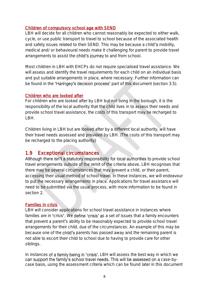#### Children of compulsory school age with SEND

LBH will decide for all children who cannot reasonably be expected to either walk, cycle, or use public transport to travel to school because of the associated health and safety issues related to their SEND. This may be because a child's mobility, medical and/ or behavioural needs make it challenging for parent to provide travel arrangements to assist the child's journey to and from school.

Most children in LBH with EHCPs do not require specialised travel assistance. We will assess and identify the travel requirements for each child on an individual basis and put suitable arrangements in place, where necessary. Further information can be found in the 'Haringey's decision process' part of this document (section 3.5).

#### Children who are looked after

For children who are looked after by LBH but not living in the borough, it is the responsibility of the local authority that the child lives in to assess their needs and provide school travel assistance, the costs of this transport may be recharged to LBH.

Children living in LBH but are looked after by a different local authority, will have their travel needs assessed and provided by LBH. (The costs of this transport may be recharged to the placing authority)

#### <span id="page-7-0"></span>1.9 Exceptional circumstances

Although there isn't a statutory responsibility for local authorities to provide school travel arrangements outside of the remit of the criteria above, LBH recognises that there may be several circumstances that may prevent a child, or their parent, accessing their usual method of school travel. In these instances, we will endeavour to put the necessary arrangements in place. Applications for travel assistance will need to be submitted via the usual process, with more information to be found in section 2.

#### Families in crisis

LBH will consider applications for school travel assistance in instances where families are in 'crisis'. We define 'crisis' as a set of issues that a family encounters that prevent a parent's ability to be reasonably expected to provide school travel arrangements for their child, due of the circumstances. An example of this may be because one of the **child's** parents has passed away and the remaining parent is not able to escort their child to school due to having to provide care for other siblings.

In instances of a family being in 'crisis', LBH will assess the best way in which we can support the family's school travel needs. This will be assessed on a case-bycase basis, using the assessment criteria which can be found later in this document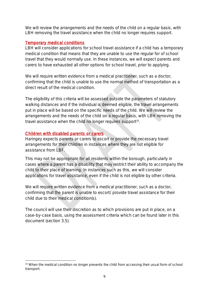We will review the arrangements and the needs of the child on a regular basis, with LBH removing the travel assistance when the child no longer requires support.

#### Temporary medical conditions

LBH will consider applications for school travel assistance if a child has a temporary medical condition that means that they are unable to use the regular for of school travel that they would normally use. In these instances, we will expect parents and carers to have exhausted all other options for school travel, prior to applying.

We will require written evidence from a medical practitioner, such as a doctor, confirming that the child is unable to use the normal method of transportation as a direct result of the medical condition.

The eligibility of this criteria will be assessed outside the parameters of statutory walking distances and if the individual is deemed eligible, the travel arrangements put in place will be based on the specific needs of the child. We will review the arrangements and the needs of the child on a regular basis, with LBH removing the travel assistance when the child no longer requires support<sup>10</sup>.

#### Children with disabled parents or carers

Haringey expects parents or carers to escort or provide the necessary travel arrangements for their children in instances where they are not eligible for assistance from LBF.

This may not be appropriate for all residents within the borough, particularly in cases where a parent has a disability that may restrict their ability to accompany the child to their place of learning. In instances such as this, we will consider applications for travel assistance, even if the child is not eligible by other criteria.

We will require written evidence from a medical practitioner, such as a doctor, confirming that the parent is unable to escort/ provide travel assistance for their child due to their medical condition(s).

The council will use their discretion as to which provisions are put in place, on a case-by-case basis, using the assessment criteria which can be found later in this document (section 3.5).

<sup>&</sup>lt;sup>10</sup> When the medical condition no longer prevents the child from accessing their usual form of school transport.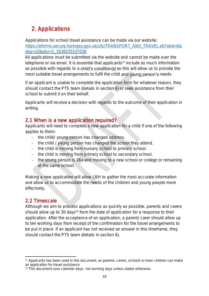# <span id="page-9-0"></span>2. Applications

Applications for school travel assistance can be made via our website: [https://eforms.secure.haringey.gov.uk/ufs/TRANSPORT\\_AND\\_TRAVEL.eb?ebd=0&](https://eforms.secure.haringey.gov.uk/ufs/TRANSPORT_AND_TRAVEL.eb?ebd=0&ebp=10&ebz=1_1636535537036) [ebp=10&ebz=1\\_1636535537036](https://eforms.secure.haringey.gov.uk/ufs/TRANSPORT_AND_TRAVEL.eb?ebd=0&ebp=10&ebz=1_1636535537036)

All applications must be submitted via the website and cannot be made over the telephone or via email. It is essential that applicants<sup>11</sup> include as much information as possible with regards to a child's condition(s) as this will allow us to provide the most suitable travel arrangements to fulfil the child and young person's needs.

If an applicant is unable to complete the application form for whatever reason, they should contact the PTS team (details in section 6) or seek assistance from their school to submit it on their behalf.

Applicants will receive a decision with regards to the outcome of their application in writing.

### <span id="page-9-1"></span>2.1 When is a new application required?

Applicants will need to complete a new application for a child if one of the following applies to them:

- the child/ young person has changed address.
- the child / young person has changed the school they attend.
- the child is moving from nursery school to primary school.
- the child is moving from primary school to secondary school.
- the young person is 16+ and moving to a new school or college or remaining at the same school.

Making a new application will allow LBH to gather the most accurate information and allow us to accommodate the needs of the children and young people more effectively.

### <span id="page-9-2"></span>2.2 Timescale

Although we aim to process applications as quickly as possible, parents and carers should allow up to 30 days<sup>12</sup> from the date of application for a response to their application. After the acceptance of an application, a parent/ carer should allow up to ten working days from receipt of the confirmation for the travel arrangements to be put in place. If an applicant has not received an answer in this timeframe, they should contact the PTS team (details in section 6).

<sup>11</sup> Applicants has been used in this document, as parents, carers, schools or even children can make an application for travel assistance

<sup>&</sup>lt;sup>12</sup> This document uses calendar days- not working days unless stated otherwise.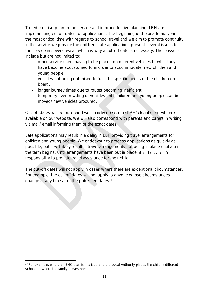To reduce disruption to the service and inform effective planning, LBH are implementing cut off dates for applications. The beginning of the academic year is the most critical time with regards to school travel and we aim to promote continuity in the service we provide the children. Late applications present several issues for the service in several ways, which is why a cut-off date is necessary. These issues include but are not limited to:

- other service users having to be placed on different vehicles to what they have become accustomed to in order to accommodate new children and young people.
- vehicles not being optimised to fulfil the specific needs of the children on board.
- longer journey times due to routes becoming inefficient.
- temporary overcrowding of vehicles until children and young people can be moved/ new vehicles procured.

Cut-off dates will be published well in advance on the LBH's local offer, which is available on our website. We will also correspond with parents and carers in writing via mail/ email informing them of the exact dates.

Late applications may result in a delay in LBF providing travel arrangements for children and young people. We endeavour to process applications as quickly as possible, but it will likely result in travel arrangements not being in place until after the term begins. Until arrangements have been put in place, it is the parent's responsibility to provide travel assistance for their child.

The cut-off dates will not apply in cases where there are exceptional circumstances. For example, the cut-off dates will not apply to anyone whose circumstances change at any time after the published dates 13 .

<sup>&</sup>lt;sup>13</sup> For example, where an EHC plan is finalised and the Local Authority places the child in different school, or where the family moves home.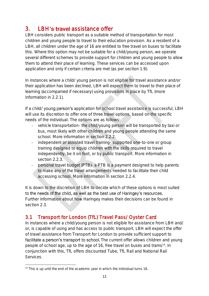# <span id="page-11-0"></span>3. LBH's travel assistance offer

LBH considers public transport as a suitable method of transportation for most children and young people to travel to their education provision. As a resident of a LBH, all children under the age of 16 are entitled to free travel on buses to facilitate this. Where this option may not be suitable for a child/young person, we operate several different schemes to provide support for children and young people to allow them to attend their place of learning. These services can be accessed upon application and only if certain criteria are met (as per section 1.9).

In instances where a child/ young person is not eligible for travel assistance and/or their application has been declined, LBH will expect them to travel to their place of learning (accompanied if necessary) using provisions in place by TfL (more information in 2.2.1).

If a child/ young person's application for school travel assistance is successful, LBH will use its discretion to offer one of three travel options, based on the specific needs of the individual. The options are as follows:

- vehicle transportation- the child/young person will be transported by taxi or bus, most likely with other children and young people attending the same school. More information in section 2.2.2.
- independent or assisted travel training- supported one-to-one or group training designed to equip children with the skills required to travel independently, be it on foot, or by public transport. More information in section 2.2.3.
- personal travel budget (PTB)- a PTB is a payment designed to help parents to make any of the travel arrangements needed to facilitate their child accessing school. More information in section 2.2.4.

It is down to the discretion of LBH to decide which of these options is most suited to the needs of the child, as well as the best use of Haringey's resources. Further information about how Haringey makes their decisions can be found in section 2.3.

### <span id="page-11-1"></span>3.1 Transport for London (TfL) Travel Pass/ Oyster Card

In instances where a child/young person is not eligible for assistance from LBH and/ or, is capable of using and has access to public transport, LBH will expect the offer of travel assistance from Transport for London to provide sufficient support to facilitate a person's transport to school. The current offer allows children and young people of school age, up to the age of 16, free travel on buses and trams<sup>14</sup>. In conjunction with this, TfL offers discounted Tube, TfL Rail and National Rail Services.

<sup>&</sup>lt;sup>14</sup> This is up until the end of the academic year in which the individual turns 16.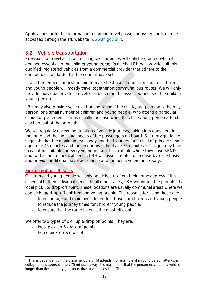Applications or further information regarding travel passes or oyster cards can be accessed through the TfL website [\(www.tfl.gov.uk/\)](http://www.tfl.gov.uk/).

### <span id="page-12-0"></span>3.2 Vehicle transportation

Provisions of travel assistance using taxis or buses will only be granted when it is deemed essential to the child or young person's needs. LBH will provide suitably qualified, registered vehicles from a commercial provider that adhere to the contractual standards that the council have set.

In a bid to reduce congestion and to make best use of council resources, children and young people will mostly travel together on communal bus routes. We will only provide individual private hire vehicles based on the assessed needs of the child or young person.

LBH may also provide vehicular transportation if the child/young person is the only person, or a small number of children and young people, who attend a particular school or placement. This is usually the case when the child/young person attends a school out of the borough.

We will regularly review the duration of vehicle journeys, taking into consideration the route and the individual needs of the passengers on board. Statutory guidance suggests that the maximum each way length of journey for a child of primary school age to be 45 minutes and for secondary school age 75 minutes<sup>15</sup>. This journey time may not be suitable for every young person, for example where they have SEND and/ or has acute medical needs. LBH will assess routes on a case-by-case basis and provide additional travel assistance arrangements where necessary.

#### Pick-up & drop-off points

Children and young people will only be picked up from their home address if it is essential to their individual needs. In all other cases, LBH will inform the parents of a local pick up/ drop-off point. These locations are usually communal areas where we can pick up/ drop-off children and young people. The reasons for using these are:

- to encourage and maintain independent travel for children and young people.
- to reduce the journey times for children/ young people.
- to ensure that the route taken is the most efficient.

We offer two types of pick up & drop off points. They are:

- local pick-up & drop-off points
- home pick-up & drop-off

<sup>&</sup>lt;sup>15</sup> This is dependent on the placement the child attends. For example, if a young person attends a college that is approximately 75 minutes away, it is reasonable that the person may be on a vehicle longer than the statutory guidance, due to variances in traffic etc.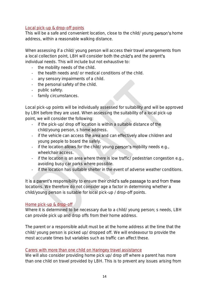#### Local pick-up & drop-off points

This will be a safe and convenient location, close to the child/ young person's home address, within a reasonable walking distance.

When assessing if a child/ young person will access their travel arrangements from a local collection point, LBH will consider both the **child's** and the parent's individual needs. This will include but not exhaustive to:

- the mobility needs of the child.
- the health needs and/ or medical conditions of the child.
- any sensory impairments of a child.
- the personal safety of the child.
- public safety.
- family circumstances.

Local pick-up points will be individually assessed for suitability and will be approved by LBH before they are used. When assessing the suitability of a local pick-up point, we will consider the following:

- if the pick-up/ drop off location is within a suitable distance of the child/young person, s home address.
- if the vehicle can access the area and can effectively allow children and young people to board the safely.
- if the location allows for the child/ young **person's** mobility needs e.g., wheelchair access.
- if the location is an area where there is low traffic/ pedestrian congestion e.g., avoiding busy car parks where possible.
- if the location has suitable shelter in the event of adverse weather conditions.

It is a parent's responsibility to ensure their child's safe passage to and from these locations. We therefore do not consider age a factor in determining whether a child/young person is suitable for local pick-up / drop-off points.

#### Home pick-up & drop-off

Where it is determined to be necessary due to a child/voung person; s needs, LBH can provide pick up and drop offs from their home address.

The parent or a responsible adult must be at the home address at the time that the child/ young person is picked up/ dropped off. We will endeavour to provide the most accurate times but variables such as traffic can affect these.

#### Carers with more than one child on Haringey travel assistance

We will also consider providing home pick up/ drop off where a parent has more than one child on travel provided by LBH. This is to prevent any issues arising from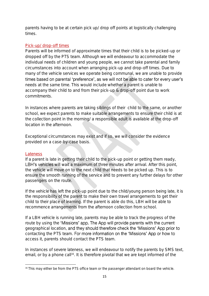parents having to be at certain pick up/ drop off points at logistically challenging times.

#### Pick-up/ drop-off times

Parents will be informed of approximate times that their child is to be picked-up or dropped off by the PTS team. Although we will endeavour to accommodate the individual needs of children and young people, we cannot take parental and family circumstances into account when arranging pick-up and drop-off times. Due to many of the vehicle services we operate being communal, we are unable to provide times based on parental 'preference', as we will not be able to cater for every user's needs at the same time. This would include whether a parent is unable to accompany their child to and from their pick-up & drop-off point due to work commitments.

In instances where parents are taking siblings of their child to the same, or another school, we expect parents to make suitable arrangements to ensure their child is at the collection point in the morning/ a responsible adult is available at the drop-off location in the afternoon.

Exceptional circumstances may exist and if so, we will consider the evidence provided on a case-by-case basis.

#### **Lateness**

If a parent is late in getting their child to the pick-up point or getting them ready, LBH's vehicles will wait a maximum of three minutes after arrival. After this point, the vehicle will move on to the next child that needs to be picked up. This is to ensure the smooth running of the service and to prevent any further delays for other passengers on the route.

If the vehicle has left the pick-up point due to the child/young person being late, it is the responsibility of the parent to make their own travel arrangements to get their child to their place of learning. If the parent is able do this, LBH will be able to recommence arrangements from the afternoon collection from school.

If a LBH vehicle is running late, parents may be able to track the progress of the route by using the 'Missions' app. The App will provide parents with the current geographical location, and they should therefore check the 'Missions' App prior to contacting the PTS team. For more information on the 'Missions' App or how to access it, parents should contact the PTS team.

In instances of severe lateness, we will endeavour to notify the parents by SMS text, email, or by a phone call<sup>16</sup>. It is therefore pivotal that we are kept informed of the

<sup>&</sup>lt;sup>16</sup> This may either be from the PTS office team or the passenger attendant on board the vehicle.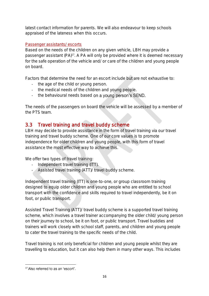latest contact information for parents. We will also endeavour to keep schools appraised of the lateness when this occurs.

#### Passenger assistants/ escorts

Based on the needs of the children on any given vehicle, LBH may provide a passenger assistant (PA)<sup>17</sup> . A PA will only be provided where it is deemed necessary for the safe operation of the vehicle and/ or care of the children and young people on board.

Factors that determine the need for an escort include but are not exhaustive to:

- the age of the child or young person.
- the medical needs of the children and young people.
- the behavioural needs based on a young person's SEND.

The needs of the passengers on board the vehicle will be assessed by a member of the PTS team.

### <span id="page-15-0"></span>3.3 Travel training and travel buddy scheme

LBH may decide to provide assistance in the form of travel training via our travel training and travel buddy scheme. One of our core values is to promote independence for older children and young people, with this form of travel assistance the most effective way to achieve this.

We offer two types of travel training:

- Independent travel training (ITT).
- Assisted travel training (ATT)/ travel buddy scheme.

Independent travel training (ITT) is one-to-one, or group classroom training designed to equip older children and young people who are entitled to school transport with the confidence and skills required to travel independently, be it on foot, or public transport.

Assisted Travel Training (ATT)/ travel buddy scheme is a supported travel training scheme, which involves a travel trainer accompanying the older child/ young person on their journey to school, be it on foot, or public transport. Travel buddies and trainers will work closely with school staff, parents, and children and young people to cater the travel training to the specific needs of the child.

Travel training is not only beneficial for children and young people whilst they are travelling to education, but it can also help them in many other ways. This includes

<sup>&</sup>lt;sup>17</sup> Also referred to as an 'escort'.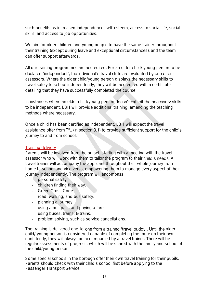such benefits as increased independence, self-esteem, access to social life, social skills, and access to job opportunities.

We aim for older children and young people to have the same trainer throughout their training (except during leave and exceptional circumstances), and the team can offer support afterwards.

All our training programmes are accredited. For an older child/ young person to be declared 'independent', the individual's travel skills are evaluated by one of our assessors. Where the older child/young person displays the necessary skills to travel safely to school independently, they will be accredited with a certificate detailing that they have successfully completed the course.

In instances where an older child/young person doesn't exhibit the necessary skills to be independent, LBH will provide additional training, amending the teaching methods where necessary.

Once a child has been certified as independent, LBH will expect the travel assistance offer from TfL (in section 3.1) to provide sufficient support for the child's journey to and from school.

#### Training delivery

Parents will be involved from the outset, starting with a meeting with the travel assessor who will work with them to tailor the program to their child's needs. A travel trainer will accompany the applicant throughout their whole journey from home to school and vice versa, empowering them to manage every aspect of their journey independently. The program will encompass:

- personal safety.
- children finding their way.
- Green Cross Code.
- road, walking, and bus safety.
- planning a journey.
- using a bus pass and paying a fare.
- using buses, trams, & trains.
- problem solving, such as service cancellations.

The training is delivered one-to-one from a trained 'travel buddy'. Until the older child/ young person is considered capable of completing the route on their own confidently, they will always be accompanied by a travel trainer. There will be regular assessments of progress, which will be shared with the family and school of the child/young person.

Some special schools in the borough offer their own travel training for their pupils. Parents should check with their child's school first before applying to the Passenger Transport Service.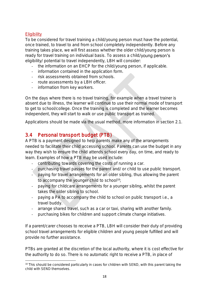#### **Eligibility**

To be considered for travel training a child/young person must have the potential, once trained, to travel to and from school completely independently. Before any training takes place, we will first assess whether the older child/young person is ready for travel training on individual basis. To assess a child/young person's eligibility/ potential to travel independently, LBH will consider:

- the information on an EHCP for the child/young person, if applicable.
- information contained in the application form.
- risk assessments obtained from schools.
- route assessments by a LBH officer.
- information from key workers.

On the days where there is no travel training, for example when a travel trainer is absent due to illness, the learner will continue to use their normal mode of transport to get to school/college. Once the training is completed and the learner becomes independent, they will start to walk or use public transport as trained.

Applications should be made via the usual method, more information in section 2.1.

### <span id="page-17-0"></span>3.4 Personal transport budget (PTB)

A PTB is a payment designed to help parents make any of the arrangements needed to facilitate their child accessing school. Parents can use the budget in any way they wish to ensure the child attends school every day, on time, and ready to learn. Examples of how a PTB may be used include:

- contributing towards covering the costs of running a car.
- purchasing travel passes for the parent and/ or child to use public transport.
- paying for travel arrangements for an older sibling, thus allowing the parent to accompany the younger child to school<sup>18</sup>;
- paying for childcare arrangements for a younger sibling, whilst the parent takes the older sibling to school.
- paying a PA to accompany the child to school on public transport i.e., a travel buddy.
- arrange shared travel, such as a car or taxi, sharing with another family.
- purchasing bikes for children and support climate change initiatives.

If a parent/carer chooses to receive a PTB, LBH will consider their duty of providing school travel arrangements for eligible children and young people fulfilled and will provide no further assistance.

PTBs are granted at the discretion of the local authority, where it is cost effective for the authority to do so. There is no automatic right to receive a PTB, in place of

<sup>&</sup>lt;sup>18</sup> This should be considered particularly in cases for children with SEND, with this parent taking the child with SEND themselves.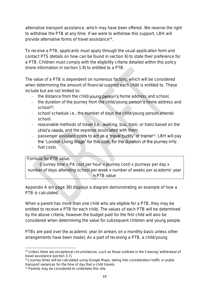alternative transport assistance, which may have been offered. We reserve the right to withdraw the PTB at any time. If we were to withdraw this support, LBH will provide alternative forms of travel assistance<sup>19</sup>.

To receive a PTB, applicants must apply through the usual application form and contact PTS (details on how can be found in section 6) to state their preference for a PTB. Children must comply with the eligibility criteria detailed within this policy (more information in section 1.8) to entitled to a PTB.

The value of a PTB is dependent on numerous factors, which will be considered when determining the amount of financial support each child is entitled to. These include but are not limited to:

- the distance from the child/young person's home address and school.
- the duration of the journey from the child/young person's home address and  $school<sup>20</sup>$ ;
- school schedule i.e., the number of days the child/young person attends school.
- reasonable methods of travel (i.e., walking, bus, tram, or train) based on the child's needs, and the expense associated with them.
- passenger assistant costs to act as a 'travel buddy' or trainer<sup>21</sup>. LBH will pay the 'London Living Wage' for this cost, for the duration of the journey only.
- fuel costs.

#### Formula for PTB value:

(Journey time x PA cost per hour + journey cost) x journeys per day x number of days attending school per week x number of weeks per academic year = PTB value

Appendix A (on page 38) displays a diagram demonstrating an example of how a PTB is calculated.

When a parent has more than one child who are eligible for a PTB, they may be entitled to receive a PTB for each child. The values of each PTB will be determined by the above criteria, however the budget paid for the first child will also be considered when determining the value for subsequent children and young people.

PTBs are paid over the academic year (in arrears on a monthly basis unless other arrangements have been made). As a part of receiving a PTB, a child/young

<sup>&</sup>lt;sup>19</sup> Unless there are exceptional circumstances, such as those outlined in the Ceasing/ withdrawal of travel assistance (section 3.7).

<sup>&</sup>lt;sup>20</sup> Journey times will be calculated using Google Maps, taking into consideration traffic or public transport variances for the time of day that a child travels.

<sup>21</sup> Parents may be considered to undertake this role.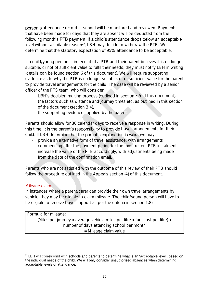person's attendance record at school will be monitored and reviewed. Payments that have been made for days that they are absent will be deducted from the following month's PTB payment. If a child's attendance drops below an acceptable level without a suitable reason<sup>22</sup>, LBH may decide to withdraw the PTB. We determine that the statutory expectation of 95% attendance to be acceptable.

If a child/young person is in receipt of a PTB and their parent believes it is no longer suitable, or not of sufficient value to fulfil their needs, they must notify LBH in writing (details can be found section 6 of this document). We will require supporting evidence as to why the PTB is no longer suitable, or of sufficient value for the parent to provide travel arrangements for the child. The case will be reviewed by a senior officer of the PTS team, who will consider:

- LBH's decision making process (outlined in section 3.5 of this document).
- the factors such as distance and journey times etc. as outlined in this section of the document (section 3.4),
- the supporting evidence supplied by the parent.

Parents should allow for 30 calendar days to receive a response in writing. During this time, it is the parent's responsibility to provide travel arrangements for their child. If LBH determine that the parent's explanation is valid, we may:

- provide an alternative form of travel assistance, with arrangements commencing after the payment period for the most recent PTB instalment.
- increase the value of the PTB accordingly, with adjustments being made from the date of the confirmation email.

Parents who are not satisfied with the outcome of this review of their PTB should follow the procedure outlined in the Appeals section (4) of this document.

#### Mileage claim

In instances where a parent/carer can provide their own travel arrangements by vehicle, they may be eligible to claim mileage. The child/young person will have to be eligible to receive travel support as per the criteria in section 1.8).

Formula for mileage: (Miles per journey x average vehicle miles per litre x fuel cost per litre) x number of days attending school per month = Mileage claim value

<sup>&</sup>lt;sup>22</sup> LBH will correspond with schools and parents to determine what is an 'acceptable level', based on the individual needs of the child. We will only consider unauthorised absences when determining acceptable levels of attendance.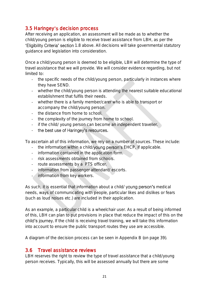### <span id="page-20-0"></span>3.5 Haringey's decision process

After receiving an application, an assessment will be made as to whether the child/young person is eligible to receive travel assistance from LBH, as per the 'Eligibility Criteria' section 1.8 above. All decisions will take governmental statutory guidance and legislation into consideration.

Once a child/young person is deemed to be eligible, LBH will determine the type of travel assistance that we will provide. We will consider evidence regarding, but not limited to:

- the specific needs of the child/young person, particularly in instances where they have SEND.
- whether the child/young person is attending the nearest suitable educational establishment that fulfils their needs.
- whether there is a family member/carer who is able to transport or accompany the child/young person.
- the distance from home to school.
- the complexity of the journey from home to school.
- if the child/ young person can become an independent traveller.
- the best use of Haringey's resources.

To ascertain all of this information, we rely on a number of sources. These include:

- the information within a child/young person's EHCP, if applicable.
- information contained in the application form.
- risk assessments obtained from schools.
- route assessments by a PTS officer.
- information from passenger attendant/ escorts.
- information from key workers.

As such, it is essential that information about a child/ young person's medical needs, ways of communicating with people, particular likes and dislikes or fears (such as loud noises etc.) are included in their application.

As an example, a particular child is a wheelchair user. As a result of being informed of this, LBH can plan to put provisions in place that reduce the impact of this on the child's journey. If the child is receiving travel training, we will take this information into account to ensure the public transport routes they use are accessible.

A diagram of the decision process can be seen in Appendix B (on page 39).

### <span id="page-20-1"></span>3.6 Travel assistance reviews

LBH reserves the right to review the type of travel assistance that a child/young person receives. Typically, this will be assessed annually but there are some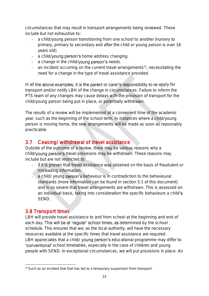circumstances that may result in transport arrangements being reviewed. These include but not exhaustive to:

- a child/young person transitioning from one school to another (nursery to primary, primary to secondary and after the child or young person is over 16 years old).
- a child/young person's home address changing.
- a change in the child/young person's needs.
- an incident occurring on the current travel arrangements<sup>23</sup>, necessitating the need for a change in the type of travel assistance provided.

In all the above examples, it is the parent or carer's responsibility to re-apply for transport and/or notify LBH of the change in circumstances. Failure to inform the PTS team of any changes may cause delays with the provision of transport for the child/young person being put in place, or potentially withdrawn.

The results of a review will be implemented at a convenient time of the academic year, such as the beginning of the school term. In instances where a child/young person is moving home, the new arrangements will be made as soon as reasonably practicable.

### <span id="page-21-0"></span>3.7 Ceasing/ withdrawal of travel assistance

Outside of the outcome of a review, there may be various reasons why a child/young person's travel provisions may be withdrawn. These reasons may include but are not restricted to:

- if it is proven that travel assistance was obtained on the basis of fraudulent or misleading information.
- a child/ young person's behaviour is in contradiction to the behavioural standards (more information can be found in section 5.1 of this document) and is so severe that travel arrangements are withdrawn. This is assessed on an individual basis, taking into consideration the specific behaviours a child's SEND.

### <span id="page-21-1"></span>3.8 Transport times

LBH will provide travel assistance to and from school at the beginning and end of each day. This will be at 'regular' school times, as determined by the school schedule. This ensures that we; as the local authority, will have the necessary resources available at the specific times that travel assistance are required. LBH appreciates that a child/ young person's educational programme may differ to 'conventional' school timetables, especially in the case of children and young people with SEND. In exceptional circumstances, we will put provisions in place. An

<sup>&</sup>lt;sup>23</sup> Such as an incident that that has led to a temporary suspension from transport.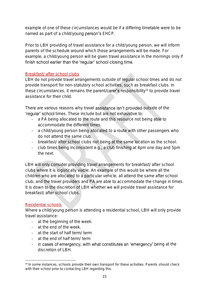example of one of these circumstances would be if a differing timetable were to be named as part of a child/young person's EHCP.

Prior to LBH providing of travel assistance for a child/young person, we will inform parents of the schedule around which those arrangements will be made. For example, a child/young person will be given travel assistance in the mornings only if finish school earlier than the 'regular' school closing time.

#### Breakfast/ after school clubs

LBH do not provide travel arrangements outside of regular school times and do not provide transport for non-statutory school activities, such as breakfast clubs. In these circumstances, it remains the parent/carer's responsibility<sup>24</sup> to provide travel assistance for their child.

There are various reasons why travel assistance isn't provided outside of the 'regular' school times. These include but are not exhaustive to:

- a PA being allocated to the route and this resource not being able to accommodate the different times.
- a child/young person being allocated to a route with other passengers who do not attend the same club.
- breakfast/ after school clubs not being at the same location as the school.
- club times being inconsistent e.g., a club finishing at 4pm one day and 5pm the next.

LBH will only consider providing travel arrangements for breakfast/ after school clubs where it is logistically viable. An example of this would be where all the children who are allocated to a particular vehicle, all attend the same after school club, and the travel providers and PA are able to accommodate the change in times. It is down to the discretion of LBH whether we will provide travel assistance for breakfast/ after school clubs.

#### Residential schools

Where a child/young person is attending a residential school, LBH will only provide travel assistance:

- at the beginning of the week.
- at the end of the week.
- at the start of half term/ term
- at the end of half term/ term
- in cases of emergency, with what constitutes an 'emergency' being at the discretion of LBH.

<sup>&</sup>lt;sup>24</sup> In some instances, schools provide their own transport for these activities. Parents should check with their school prior to contacting LBH regarding this.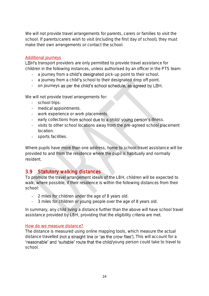We will not provide travel arrangements for parents, carers or families to visit the school. If parents/carers wish to visit (including the first day of school), they must make their own arrangements or contact the school.

#### Additional journeys

LBH's transport providers are only permitted to provide travel assistance for children in the following instances, unless authorised by an officer in the PTS team:

- a journey from a child's designated pick-up point to their school.
- a journey from a child's school to their designated drop off point.
- on journeys as per the child's school schedule, as agreed by LBH.

We will not provide travel arrangements for:

- school trips.
- medical appointments.
- work experience or work placements.
- early collections from school due to a child/ young person's illness.
- visits to other school locations away from the pre-agreed school placement location.
- sports facilities.

Where pupils have more than one address, home to school travel assistance will be provided to and from the residence where the pupil is habitually and normally resident.

### <span id="page-23-0"></span>3.9 Statutory walking distances

To promote the travel arrangement ideals of the LBH, children will be expected to walk; where possible, if their residence is within the following distances from their school:

- 2 miles for children under the age of 8 years old.
- 3 miles for children or young people over the age of 8 years old.

In summary, any child living a distance further than the above will have school travel assistance provided by LBH, providing that the eligibility criteria are met.

#### How do we measure distance?

The distance is measured using online mapping tools, which measure the actual distance travelled (not a straight line or 'as the crow flies'). This will account for a 'reasonable' and 'suitable' route that the child/young person could take to travel to school.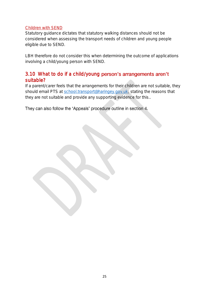#### Children with SEND

Statutory guidance dictates that statutory walking distances should not be considered when assessing the transport needs of children and young people eligible due to SEND.

LBH therefore do not consider this when determining the outcome of applications involving a child/young person with SEND.

### <span id="page-24-0"></span>3.10 What to do if a child/young person's arrangements aren't suitable?

If a parent/carer feels that the arrangements for their children are not suitable, they should email PTS at [school.transport@haringey.gov.uk;](mailto:school.transport@haringey.gov.uk) stating the reasons that they are not suitable and provide any supporting evidence for this..

They can also follow the 'Appeals' procedure outline in section 4.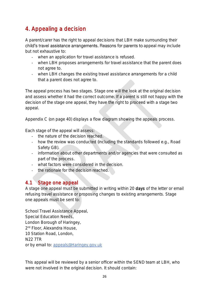# <span id="page-25-0"></span>4. Appealing a decision

A parent/carer has the right to appeal decisions that LBH make surrounding their child's travel assistance arrangements. Reasons for parents to appeal may include but not exhaustive to:

- when an application for travel assistance is refused.
- when LBH proposes arrangements for travel assistance that the parent does not agree to.
- when LBH changes the existing travel assistance arrangements for a child that a parent does not agree to.

The appeal process has two stages. Stage one will the look at the original decision and assess whether it had the correct outcome. If a parent is still not happy with the decision of the stage one appeal, they have the right to proceed with a stage two appeal.

Appendix C (on page 40) displays a flow diagram showing the appeals process.

Each stage of the appeal will assess:

- the nature of the decision reached.
- how the review was conducted (including the standards followed e.g., Road Safety GB).
- information about other departments and/or agencies that were consulted as part of the process.
- what factors were considered in the decision.
- the rationale for the decision reached.

### <span id="page-25-1"></span>4.1 Stage one appeal

A stage one appeal must be submitted in writing within 20 days of the letter or email refusing travel assistance or proposing changes to existing arrangements. Stage one appeals must be sent to:

School Travel Assistance Appeal, Special Education Needs, London Borough of Haringey, 2 nd Floor, Alexandra House, 10 Station Road, London, N22 7TR or by email to: [appeals@Haringey.gov.uk](file://///LBOH.LOCAL/LBOH-SHARED-DATA/CS/C&R/CS&R/chcrmxf/Haringey%20Policies/Travel%20Assistance%20Policy/appeals@Haringey.gov.uk%20%20) 

This appeal will be reviewed by a senior officer within the SEND team at LBH, who were not involved in the original decision. It should contain: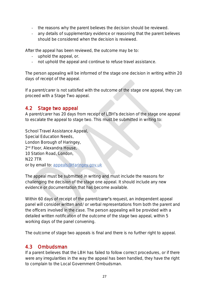- the reasons why the parent believes the decision should be reviewed.
- any details of supplementary evidence or reasoning that the parent believes should be considered when the decision is reviewed.

After the appeal has been reviewed, the outcome may be to:

- uphold the appeal, or.
- not uphold the appeal and continue to refuse travel assistance.

The person appealing will be informed of the stage one decision in writing within 20 days of receipt of the appeal.

If a parent/carer is not satisfied with the outcome of the stage one appeal, they can proceed with a Stage Two appeal.

### <span id="page-26-0"></span>4.2 Stage two appeal

A parent/carer has 20 days from receipt of LBH's decision of the stage one appeal to escalate the appeal to stage two. This must be submitted in writing to:

School Travel Assistance Appeal, Special Education Needs, London Borough of Haringey, 2 nd Floor, Alexandra House, 10 Station Road, London, N22 7TR or by email to: [appeals@Haringey.gov.uk](file://///LBOH.LOCAL/LBOH-SHARED-DATA/CS/C&R/CS&R/chcrmxf/Haringey%20Policies/Travel%20Assistance%20Policy/appeals@Haringey.gov.uk%20%20) 

The appeal must be submitted in writing and must include the reasons for challenging the decision of the stage one appeal. It should include any new evidence or documentation that has become available.

Within 60 days of receipt of the parent/carer's request, an independent appeal panel will consider written and/ or verbal representations from both the parent and the officers involved in the case. The person appealing will be provided with a detailed written notification of the outcome of the stage two appeal, within 5 working days of the panel convening.

The outcome of stage two appeals is final and there is no further right to appeal.

### <span id="page-26-1"></span>4.3 Ombudsman

If a parent believes that the LBH has failed to follow correct procedures, or if there were any irregularities in the way the appeal has been handled, they have the right to complain to the Local Government Ombudsman.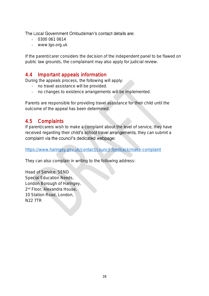The Local Government Ombudsman's contact details are:

- 0300 061 0614
- www.lgo.org.uk

If the parent/carer considers the decision of the independent panel to be flawed on public law grounds, the complainant may also apply for judicial review.

#### <span id="page-27-0"></span>4.4 Important appeals information

During the appeals process, the following will apply:

- no travel assistance will be provided.
- no changes to existence arrangements will be implemented.

Parents are responsible for providing travel assistance for their child until the outcome of the appeal has been determined.

### <span id="page-27-1"></span>4.5 Complaints

If parent/carers wish to make a complaint about the level of service, they have received regarding their child's school travel arrangements, they can submit a complaint via the council's dedicated webpage:

<https://www.haringey.gov.uk/contact/council-feedback/make-complaint>

They can also complain in writing to the following address:

Head of Service: SEND Special Education Needs, London Borough of Haringey, 2 nd Floor, Alexandra House, 10 Station Road, London, N22 7TR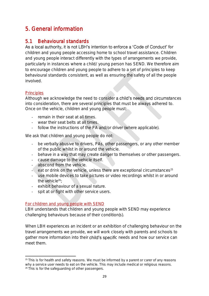# <span id="page-28-0"></span>5. General information

### <span id="page-28-1"></span>5.1 Behavioural standards

As a local authority, it is not LBH's intention to enforce a 'Code of Conduct' for children and young people accessing home to school travel assistance. Children and young people interact differently with the types of arrangements we provide, particularly in instances where a child/ young person has SEND. We therefore aim to encourage children and young people to adhere to a set of principles to keep behavioural standards consistent, as well as ensuring the safety of all the people involved.

#### **Principles**

Although we acknowledge the need to consider a child's needs and circumstances into consideration, there are several principles that must be always adhered to. Once on the vehicle, children and young people must:

- remain in their seat at all times.
- wear their seat belts at all times.
- follow the instructions of the PA and/or driver (where applicable).

We ask that children and young people do not:

- be verbally abusive to drivers, PAs, other passengers, or any other member of the public whilst in or around the vehicle.
- behave in a way that may create danger to themselves or other passengers.
- cause damage to the vehicle itself.
- abscond from the vehicle.
- $-$  eat or drink on the vehicle, unless there are exceptional circumstances<sup>25</sup>
- use mobile devices to take pictures or video recordings whilst in or around the vehicle $26$
- exhibit behaviour of a sexual nature.
- spit at or fight with other service users.

#### For children and young people with SEND

LBH understands that children and young people with SEND may experience challenging behaviours because of their condition(s).

When LBH experiences an incident or an exhibition of challenging behaviour on the travel arrangements we provide, we will work closely with parents and schools to gather more information into their child's specific needs and how our service can meet them.

<sup>&</sup>lt;sup>25</sup> This is for health and safety reasons. We must be informed by a parent or carer of any reasons why a service user needs to eat on the vehicle. This may include medical or religious reasons. <sup>26</sup> This is for the safeguarding of other passengers.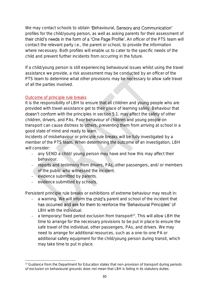We may contact schools to obtain 'Behavioural, Sensory and Communication' profiles for the child/young person, as well as asking parents for their assessment of their child's needs in the form of a 'One Page Profile'. An officer of the PTS team will contact the relevant party i.e., the parent or school, to provide the information where necessary. Both profiles will enable us to cater to the specific needs of the child and prevent further incidents from occurring in the future.

If a child/young person is still experiencing behavioural issues whilst using the travel assistance we provide, a risk assessment may be conducted by an officer of the PTS team to determine what other provisions may be necessary to allow safe travel of all the parties involved.

#### Outcome of principle rule breaks

It is the responsibility of LBH to ensure that all children and young people who are provided with travel assistance get to their place of learning safely. Behaviour that doesn't conform with the principles in section 5.1. may affect the safety of other children, drivers, and PAs. Poor behaviour of children and young people on transport can cause distress to others, preventing them from arriving at school in a good state of mind and ready to learn.

Incidents of misbehaviour or principle rule breaks will be fully investigated by a member of the PTS team. When determining the outcome of an investigation, LBH will consider:

- any SEND a child/ young person may have and how this may affect their behaviour.
- reports and testimony from drivers, PAs, other passengers, and/ or members of the public who witnessed the incident.
- evidence submitted by parents.
- evidence submitted by schools.

Persistent principle rule breaks or exhibitions of extreme behaviour may result in:

- a warning. We will inform the child's parent and school of the incident that has occurred and ask for them to reinforce the 'Behavioural Principles' of LBH with the individual.
- a temporary/ fixed period exclusion from transport<sup>27</sup>. This will allow LBH the time to arrange for the necessary provisions to be put in place to ensure the safe travel of the individual, other passengers, PAs, and drivers. We may need to arrange for additional resources, such as a one-to-one PA or additional safety equipment for the child/young person during transit, which may take time to put in place.

<sup>&</sup>lt;sup>27</sup> Guidance from the Department for Education states that non-provision of transport during periods of exclusion on behavioural grounds does not mean that LBH is failing in its statutory duties.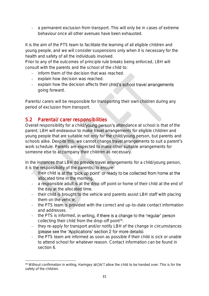- a permanent exclusion from transport. This will only be in cases of extreme behaviour once all other avenues have been exhausted.

It is the aim of the PTS team to facilitate the learning of all eligible children and young people, and we will consider suspensions only when it is necessary for the health and safety of all the individuals involved.

Prior to any of the outcomes of principle rule breaks being enforced, LBH will consult with the parents and the school of the child to:

- inform them of the decision that was reached.
- explain how decision was reached.
- explain how the decision affects their child's school travel arrangements going forward.

Parents/ carers will be responsible for transporting their own children during any period of exclusion from transport.

### <span id="page-30-0"></span>5.2 Parental/ carer responsibilities

Overall responsibility for a child/young person's attendance at school is that of the parent. LBH will endeavour to make travel arrangements for eligible children and young people that are suitable not only for the child/young person, but parents and schools alike. Despite this, we cannot change travel arrangements to suit a parent's work schedule. Parents are expected to make other suitable arrangements for someone else to accompany their children as necessary.

In the instances that LBH do provide travel arrangements for a child/young person, it is the responsibility of the parent(s) to ensure:

- their child is at the 'pick up point' or ready to be collected from home at the allocated time in the morning.
- a responsible adult is at the drop off point or home of their child at the end of the day at the allocated time.
- their child is brought to the vehicle and parents assist LBH staff with placing them on the vehicle.
- the PTS team is provided with the correct and up-to-date contact information and addresses.
- the PTS is informed, in writing, if there is a change to the 'regular' person collecting their child from the drop-off point<sup>28</sup>.
- they re-apply for transport and/or notify LBH of the change in circumstances (please see the 'Applications' section 2 for more details).
- the PTS team are informed as soon as possible if their child is sick or unable to attend school for whatever reason. Contact information can be found in section 6.

 $28$  Without confirmation in writing, Haringey WON'T allow the child to be handed over. This is for the safety of the children.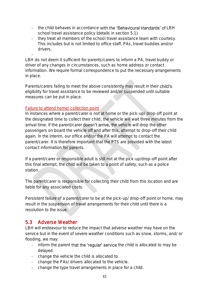- the child behaves in accordance with the 'Behavioural standards' of LBH school travel assistance policy (details in section 5.1).
- they treat all members of the school travel assistance team with courtesy. This includes but is not limited to office staff, PAs, travel buddies and/or drivers.

- LBH do not deem it sufficient for parents/carers to inform a PA, travel buddy or driver of any changes in circumstances, such as home address or contact information. We require formal correspondence to put the necessary arrangements in place.

Parents/carers failing to meet the above consistently may result in their child's eligibility for travel assistance to be reviewed and/or suspended until suitable measures can be put in place.

#### Failure to attend home/ collection point

In instances where a parent/carer is not at home or the pick-up/ drop-off point at the designated time to collect their child, the vehicle will wait three minutes from the arrival time. If the parent/carer **doesn't arrive, the vehicle will drop the other** passengers on board the vehicle off and after this, attempt to drop-off their child again. In the interim, our office and/or the PA will attempt to contact the parent/carer. It is therefore important that the PTS are provided with the latest contact information for parents.

If a parent/carer or responsible adult is still not at the pick-up/drop-off point after this final attempt, the child will be taken to a point of safety, such as a police station.

The parent/carer is responsible for collecting their child from this location and are liable for any associated costs.

Persistent failure of a parent/carer to be at the pick-up/ drop-off point or home, may result in the suspension of travel arrangements for their child until there is a resolution to the issue.

#### <span id="page-31-0"></span>5.3 Adverse Weather

LBH will endeavour to reduce the impact that adverse weather may have on the service but in the event of severe weather conditions such as snow, storms, and/ or flooding, we may:

- inform the parent that the 'regular' service the child is allocated to may be delayed.
- change the vehicle the child is allocated to.
- change the PAs/ drivers allocated to the vehicle.
- change the type travel arrangements in place for a child.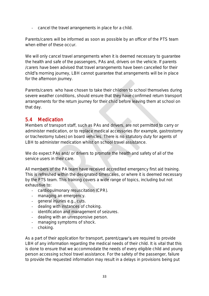- cancel the travel arrangements in place for a child.

Parents/carers will be informed as soon as possible by an officer of the PTS team when either of these occur

We will only cancel travel arrangements when it is deemed necessary to guarantee the health and safe of the passengers, PAs and, drivers on the vehicle. If parents /carers have been advised that travel arrangements have been cancelled for their child's morning journey, LBH cannot guarantee that arrangements will be in place for the afternoon journey.

Parents/carers who have chosen to take their children to school themselves during severe weather conditions, should ensure that they have confirmed return transport arrangements for the return journey for their child before leaving them at school on that day.

### <span id="page-32-0"></span>5.4 Medication

Members of transport staff, such as PAs and drivers, are not permitted to carry or administer medication, or to replace medical accessories (for example, gastrostomy or tracheotomy tubes) on board vehicles. There is no statutory duty for agents of LBH to administer medication whilst on school travel assistance.

We do expect PAs and/ or drivers to promote the health and safety of all of the service users in their care.

All members of the PA team have received accredited emergency first aid training. This is refreshed within the designated timescales, or where it is deemed necessary by the PTS team. This training covers a wide range of topics, including but not exhaustive to:

- cardiopulmonary resuscitation (CPR).
- managing an emergency.
- general injuries e.g., cuts.
- dealing with instances of choking.
- identification and management of seizures.
- dealing with an unresponsive person.
- managing symptoms of shock.
- choking.

As a part of their application for transport, parent/carer's are required to provide LBH of any information regarding the medical needs of their child. It is vital that this is done to ensure that we accommodate the needs of every eligible child and young person accessing school travel assistance. For the safety of the passenger, failure to provide the requested information may result in a delays in provisions being put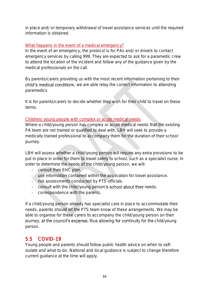in place and/ or temporary withdrawal of travel assistance services until the required information is obtained.

#### What happens in the event of a medical emergency?

In the event of an emergency, the protocol is for PAs and/ or drivers to contact emergency services by calling 999. They are expected to ask for a paramedic crew to attend the location of the incident and follow any of the guidance given by the medical professionals on the call.

By parents/carers providing us with the most recent information pertaining to their child's medical conditions, we are able relay the correct information to attending paramedics.

It is for parents/carers to decide whether they wish for their child to travel on these terms.

#### Children/ young people with complex or acute medical needs

Where a child/young person has complex or acute medical needs that the existing PA team are not trained or qualified to deal with, LBH will seek to provide a medically trained professional to accompany them for the duration of their school journey.

LBH will assess whether a child/young person will require any extra provisions to be put in place in order for them to travel safely to school, such as a specialist nurse. In order to determine the needs of the child/young person, we will:

- consult their EHC plan.
- use information contained within the application for travel assistance.
- risk assessments conducted by PTS officials.
- consult with the child/young person's school about their needs.
- correspondence with the parents.

If a child/young person already has specialist care in place to accommodate their needs, parents should let the PTS team know of these arrangements. We may be able to organise for these carers to accompany the child/young person on their journey, at the council's expense, thus allowing for continuity for the child/young person.

### <span id="page-33-0"></span>5.5 COVID-19

Young people and parents should follow public health advice on when to selfisolate and what to do. National and local guidance is subject to change therefore current guidance at the time will apply.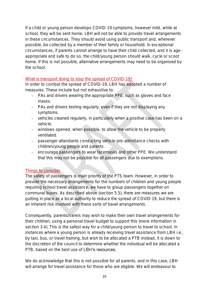If a child or young person develops COVID-19 symptoms, however mild, while at school, they will be sent home. LBH will not be able to provide travel arrangements in these circumstances. They should avoid using public transport and, wherever possible, be collected by a member of their family or household. In exceptional circumstances, if parents cannot arrange to have their child collected, and it is ageappropriate and safe to do so, the child/young person should walk, cycle or scoot home. If this is not possible, alternative arrangements may need to be organised by the school.

#### What is transport doing to stop the spread of COVID-19?

In order to combat the spread of COVID-19, LBH has adopted a number of measures. These include but not exhaustive to:

- PAs and drivers wearing the appropriate PPE, such as gloves and face masks.
- PAs and drivers testing regularly, even if they are not displaying any symptoms.
- vehicles cleaned regularly, in particularly when a positive case has been on a vehicle.
- windows opened, when possible, to allow the vehicle to be properly ventilated.
- passenger attendants conducting vehicle pre-admittance checks with children/young people and parents.
- encourage passengers to wear facemasks and other PPE. We understand that this may not be possible for all passengers due to exemptions.

#### Things to consider

The safety of passengers is main priority of the PTS team. However, in order to provide the necessary arrangements for the numbers of children and young people requiring school travel assistance, we have to group passengers together on communal buses. As described above (section 5.5), there are measures we are putting in place as a local authority to reduce the spread of COVID-19, but there is an inherent risk involved with these sorts of travel arrangements.

Consequently, parents/carers may wish to make their own travel arrangements for their children, using a personal travel budget to support this (more information in section 3.4). This is the safest way for a child/young person to travel to school. In instances where a young person is already receiving travel assistance from LBH i.e., by taxi, bus, or travel training, but wish to be allocated a PTB instead, it is down to the discretion of the council to determine whether the individual will be allocated a PTB, based on the best use of LBH's resources.

We do acknowledge that this is not possible for all parents, and in this case, LBH will arrange for travel assistance for those who are eligible. We will endeavour to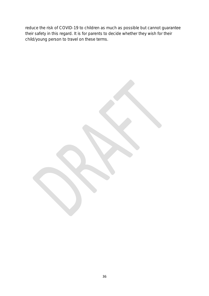reduce the risk of COVID-19 to children as much as possible but cannot guarantee their safety in this regard. It is for parents to decide whether they wish for their child/young person to travel on these terms.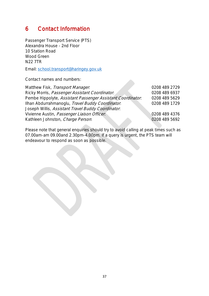## <span id="page-36-0"></span>6 Contact Information

Passenger Transport Service (PTS) Alexandra House - 2nd Floor 10 Station Road Wood Green N22 7TR

Email: [school.transport@haringey.gov.uk](mailto:school.transport@haringey.gov.uk)

Contact names and numbers:

| Matthew Fisk, Transport Manager.                            | 0208 489 2729 |
|-------------------------------------------------------------|---------------|
| Ricky Morris, Passenger Assistant Coordinator.              | 0208 489 6937 |
| Pembe Hippolyte, Assistant Passenger Assistant Coordinator. | 0208 489 5629 |
| Ilhan Abdurrahmanoqlu, Travel Buddy Coordinator.            | 0208 489 1729 |
| Joseph Willis, Assistant Travel Buddy Coordinator.          |               |
| Vivienne Austin, Passenger Liaison Officer.                 | 0208 489 4376 |
| Kathleen Johnston, Charge Person:                           | 0208 489 5692 |
|                                                             |               |

Please note that general enquiries should try to avoid calling at peak times such as 07.00am-am 09.00and 2.30pm-4.00pm. If a query is urgent, the PTS team will endeavour to respond as soon as possible.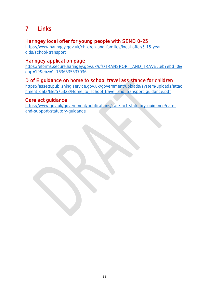# <span id="page-37-0"></span>7 Links

### Haringey local offer for young people with SEND 0-25

[https://www.haringey.gov.uk/children-and-families/local-offer/5-15-year](https://www.haringey.gov.uk/children-and-families/local-offer/5-15-year-olds/school-transport)[olds/school-transport](https://www.haringey.gov.uk/children-and-families/local-offer/5-15-year-olds/school-transport)

### Haringey application page

[https://eforms.secure.haringey.gov.uk/ufs/TRANSPORT\\_AND\\_TRAVEL.eb?ebd=0&](https://eforms.secure.haringey.gov.uk/ufs/TRANSPORT_AND_TRAVEL.eb?ebd=0&ebp=10&ebz=1_1636535537036) [ebp=10&ebz=1\\_1636535537036](https://eforms.secure.haringey.gov.uk/ufs/TRANSPORT_AND_TRAVEL.eb?ebd=0&ebp=10&ebz=1_1636535537036)

### D of E guidance on home to school travel assistance for children

[https://assets.publishing.service.gov.uk/government/uploads/system/uploads/attac](https://assets.publishing.service.gov.uk/government/uploads/system/uploads/attachment_data/file/575323/Home_to_school_travel_and_transport_guidance.pdf) [hment\\_data/file/575323/Home\\_to\\_school\\_travel\\_and\\_transport\\_guidance.pdf](https://assets.publishing.service.gov.uk/government/uploads/system/uploads/attachment_data/file/575323/Home_to_school_travel_and_transport_guidance.pdf)

### Care act guidance

[https://www.gov.uk/government/publications/care-act-statutory-guidance/care](https://www.gov.uk/government/publications/care-act-statutory-guidance/care-and-support-statutory-guidance)[and-support-statutory-guidance](https://www.gov.uk/government/publications/care-act-statutory-guidance/care-and-support-statutory-guidance)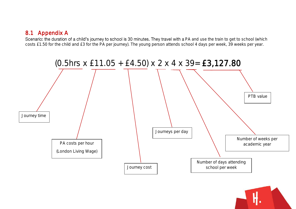# 8.1 Appendix A

Scenario: the duration of a child's journey to school is 30 minutes. They travel with a PA and use the train to get to school (which costs £1.50 for the child and £3 for the PA per journey). The young person attends school 4 days per week, 39 weeks per year.

<span id="page-38-0"></span>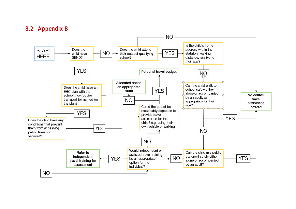### 8.2 Appendix B

<span id="page-39-0"></span>